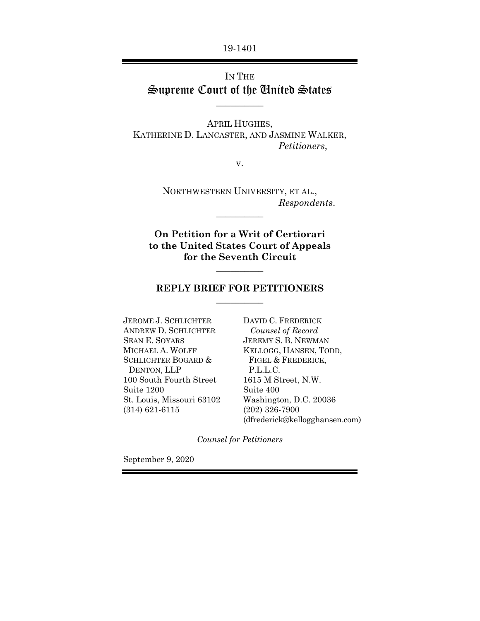19-1401

# IN THE Supreme Court of the United States

 $\overline{\phantom{a}}$   $\overline{\phantom{a}}$ 

APRIL HUGHES, KATHERINE D. LANCASTER, AND JASMINE WALKER, *Petitioners*,

v.

NORTHWESTERN UNIVERSITY, ET AL., *Respondents*.  $\overline{\phantom{a}}$   $\overline{\phantom{a}}$ 

**On Petition for a Writ of Certiorari to the United States Court of Appeals for the Seventh Circuit**

#### **REPLY BRIEF FOR PETITIONERS**   $\overline{\phantom{a}}$

 $\overline{\phantom{a}}$ 

JEROME J. SCHLICHTER ANDREW D. SCHLICHTER SEAN E. SOYARS MICHAEL A. WOLFF SCHLICHTER BOGARD & DENTON, LLP 100 South Fourth Street Suite 1200 St. Louis, Missouri 63102 (314) 621-6115

DAVID C. FREDERICK  *Counsel of Record*  JEREMY S. B. NEWMAN KELLOGG, HANSEN, TODD, FIGEL & FREDERICK, P.L.L.C. 1615 M Street, N.W. Suite 400 Washington, D.C. 20036 (202) 326-7900 (dfrederick@kellogghansen.com)

*Counsel for Petitioners* 

September 9, 2020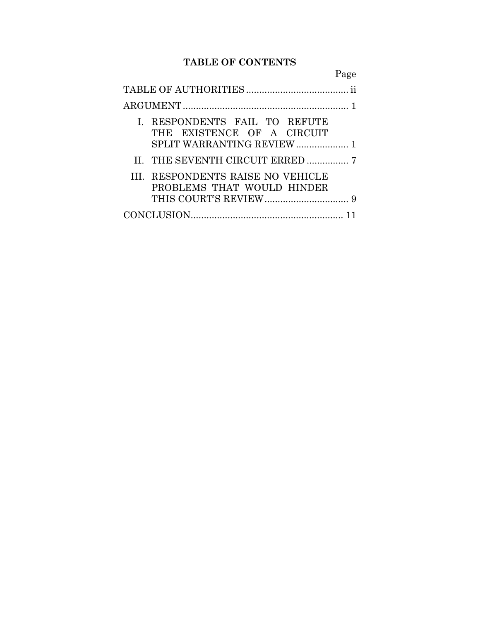# **TABLE OF CONTENTS**

|                                                                 | Page |
|-----------------------------------------------------------------|------|
|                                                                 |      |
|                                                                 |      |
| I. RESPONDENTS FAIL TO REFUTE<br>THE EXISTENCE OF A CIRCUIT     |      |
|                                                                 |      |
| III. RESPONDENTS RAISE NO VEHICLE<br>PROBLEMS THAT WOULD HINDER |      |
|                                                                 |      |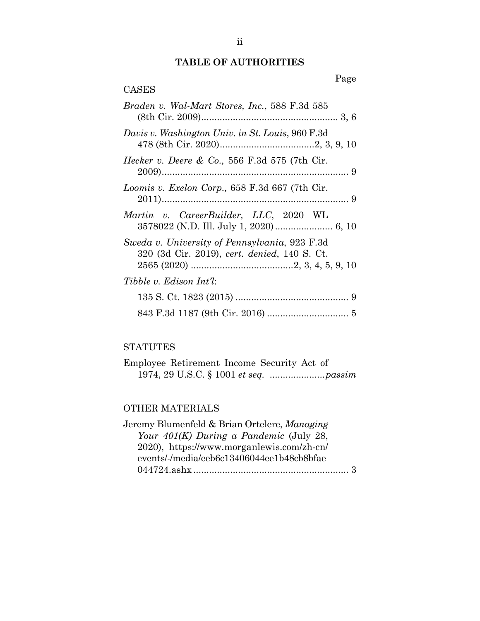## **TABLE OF AUTHORITIES**

| CASES |
|-------|
|-------|

| Braden v. Wal-Mart Stores, Inc., 588 F.3d 585                                                 |
|-----------------------------------------------------------------------------------------------|
| Davis v. Washington Univ. in St. Louis, 960 F.3d                                              |
| Hecker v. Deere & Co., 556 F.3d 575 (7th Cir.                                                 |
| Loomis v. Exelon Corp., 658 F.3d 667 (7th Cir.                                                |
| Martin v. CareerBuilder, LLC, 2020 WL                                                         |
| Sweda v. University of Pennsylvania, 923 F.3d<br>320 (3d Cir. 2019), cert. denied, 140 S. Ct. |
| Tibble v. Edison Int'l:                                                                       |
|                                                                                               |
|                                                                                               |

### **STATUTES**

| Employee Retirement Income Security Act of |  |
|--------------------------------------------|--|
|                                            |  |

## OTHER MATERIALS

| Jeremy Blumenfeld & Brian Ortelere, Managing |
|----------------------------------------------|
| Your $401(K)$ During a Pandemic (July 28,    |
| 2020), https://www.morganlewis.com/zh-cn/    |
| events/-/media/eeb6c13406044ee1b48cb8bfae    |
|                                              |
|                                              |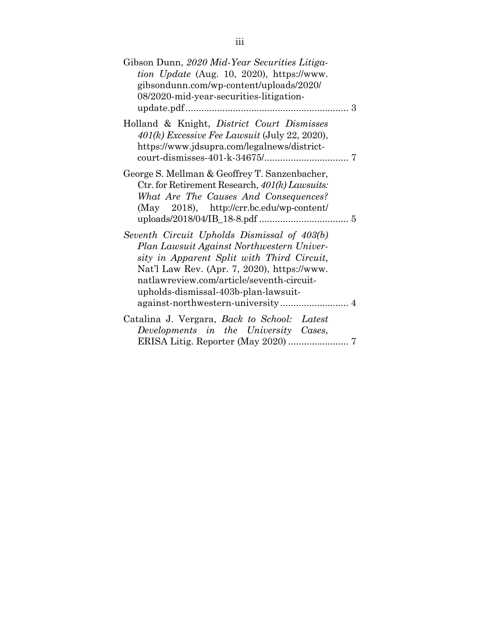| Gibson Dunn, 2020 Mid-Year Securities Litiga-<br><i>tion Update</i> (Aug. 10, 2020), https://www.<br>gibsondunn.com/wp-content/uploads/2020/<br>08/2020-mid-year-securities-litigation-                                                                                    |  |
|----------------------------------------------------------------------------------------------------------------------------------------------------------------------------------------------------------------------------------------------------------------------------|--|
| Holland & Knight, <i>District Court Dismisses</i><br>$401(k)$ Excessive Fee Lawsuit (July 22, 2020),<br>https://www.jdsupra.com/legalnews/district-                                                                                                                        |  |
| George S. Mellman & Geoffrey T. Sanzenbacher,<br>Ctr. for Retirement Research, 401(k) Lawsuits:<br>What Are The Causes And Consequences?<br>(May 2018), http://crr.bc.edu/wp-content/                                                                                      |  |
| Seventh Circuit Upholds Dismissal of 403(b)<br>Plan Lawsuit Against Northwestern Univer-<br>sity in Apparent Split with Third Circuit,<br>Nat'l Law Rev. (Apr. 7, 2020), https://www.<br>natlawreview.com/article/seventh-circuit-<br>upholds-dismissal-403b-plan-lawsuit- |  |
| Catalina J. Vergara, Back to School: Latest<br>Developments in the University Cases,<br>ERISA Litig. Reporter (May 2020)  7                                                                                                                                                |  |
|                                                                                                                                                                                                                                                                            |  |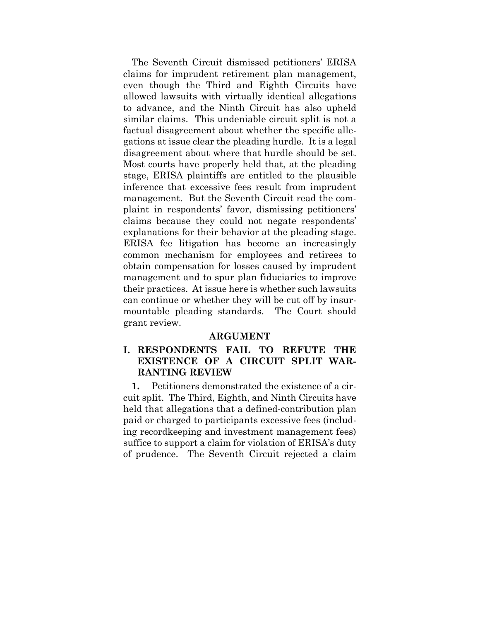The Seventh Circuit dismissed petitioners' ERISA claims for imprudent retirement plan management, even though the Third and Eighth Circuits have allowed lawsuits with virtually identical allegations to advance, and the Ninth Circuit has also upheld similar claims. This undeniable circuit split is not a factual disagreement about whether the specific allegations at issue clear the pleading hurdle. It is a legal disagreement about where that hurdle should be set. Most courts have properly held that, at the pleading stage, ERISA plaintiffs are entitled to the plausible inference that excessive fees result from imprudent management. But the Seventh Circuit read the complaint in respondents' favor, dismissing petitioners' claims because they could not negate respondents' explanations for their behavior at the pleading stage. ERISA fee litigation has become an increasingly common mechanism for employees and retirees to obtain compensation for losses caused by imprudent management and to spur plan fiduciaries to improve their practices. At issue here is whether such lawsuits can continue or whether they will be cut off by insurmountable pleading standards. The Court should grant review.

#### **ARGUMENT**

### **I. RESPONDENTS FAIL TO REFUTE THE EXISTENCE OF A CIRCUIT SPLIT WAR-RANTING REVIEW**

**1.** Petitioners demonstrated the existence of a circuit split. The Third, Eighth, and Ninth Circuits have held that allegations that a defined-contribution plan paid or charged to participants excessive fees (including recordkeeping and investment management fees) suffice to support a claim for violation of ERISA's duty of prudence. The Seventh Circuit rejected a claim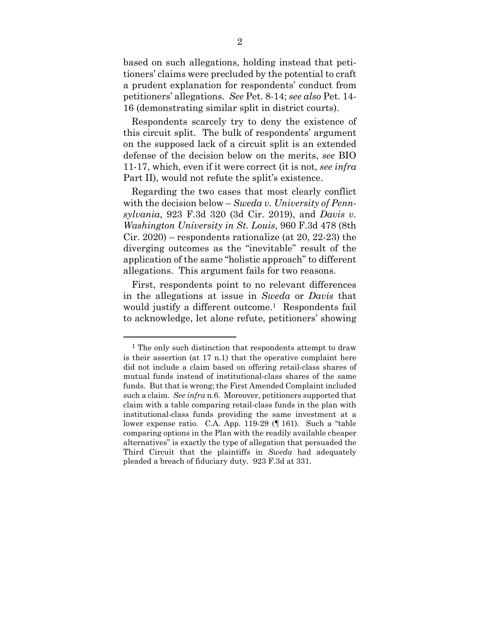based on such allegations, holding instead that petitioners' claims were precluded by the potential to craft a prudent explanation for respondents' conduct from petitioners' allegations. *See* Pet. 8-14; *see also* Pet. 14- 16 (demonstrating similar split in district courts).

Respondents scarcely try to deny the existence of this circuit split. The bulk of respondents' argument on the supposed lack of a circuit split is an extended defense of the decision below on the merits, *see* BIO 11-17, which, even if it were correct (it is not, *see infra* Part II), would not refute the split's existence.

Regarding the two cases that most clearly conflict with the decision below – *Sweda v. University of Pennsylvania*, 923 F.3d 320 (3d Cir. 2019), and *Davis v. Washington University in St. Louis*, 960 F.3d 478 (8th Cir. 2020) – respondents rationalize (at 20, 22-23) the diverging outcomes as the "inevitable" result of the application of the same "holistic approach" to different allegations. This argument fails for two reasons.

First, respondents point to no relevant differences in the allegations at issue in *Sweda* or *Davis* that would justify a different outcome.<sup>1</sup> Respondents fail to acknowledge, let alone refute, petitioners' showing

<sup>&</sup>lt;sup>1</sup> The only such distinction that respondents attempt to draw is their assertion (at 17 n.1) that the operative complaint here did not include a claim based on offering retail-class shares of mutual funds instead of institutional-class shares of the same funds. But that is wrong; the First Amended Complaint included such a claim. *See infra* n.6. Moreover, petitioners supported that claim with a table comparing retail-class funds in the plan with institutional-class funds providing the same investment at a lower expense ratio. C.A. App. 119-29 (¶ 161). Such a "table comparing options in the Plan with the readily available cheaper alternatives" is exactly the type of allegation that persuaded the Third Circuit that the plaintiffs in *Sweda* had adequately pleaded a breach of fiduciary duty. 923 F.3d at 331.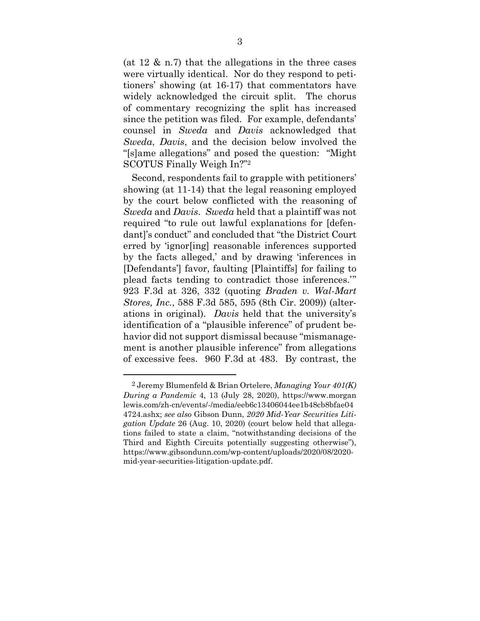(at  $12 \& n.7$ ) that the allegations in the three cases were virtually identical. Nor do they respond to petitioners' showing (at 16-17) that commentators have widely acknowledged the circuit split. The chorus of commentary recognizing the split has increased since the petition was filed. For example, defendants' counsel in *Sweda* and *Davis* acknowledged that *Sweda*, *Davis*, and the decision below involved the "[s]ame allegations" and posed the question: "Might SCOTUS Finally Weigh In?"2

Second, respondents fail to grapple with petitioners' showing (at 11-14) that the legal reasoning employed by the court below conflicted with the reasoning of *Sweda* and *Davis*. *Sweda* held that a plaintiff was not required "to rule out lawful explanations for [defendant]'s conduct" and concluded that "the District Court erred by 'ignor[ing] reasonable inferences supported by the facts alleged,' and by drawing 'inferences in [Defendants'] favor, faulting [Plaintiffs] for failing to plead facts tending to contradict those inferences.'" 923 F.3d at 326, 332 (quoting *Braden v. Wal-Mart Stores, Inc.*, 588 F.3d 585, 595 (8th Cir. 2009)) (alterations in original). *Davis* held that the university's identification of a "plausible inference" of prudent behavior did not support dismissal because "mismanagement is another plausible inference" from allegations of excessive fees. 960 F.3d at 483. By contrast, the

<u>.</u>

<sup>2</sup> Jeremy Blumenfeld & Brian Ortelere, *Managing Your 401(K) During a Pandemic* 4, 13 (July 28, 2020), https://www.morgan lewis.com/zh-cn/events/-/media/eeb6c13406044ee1b48cb8bfae04 4724.ashx; *see also* Gibson Dunn, *2020 Mid-Year Securities Litigation Update* 26 (Aug. 10, 2020) (court below held that allegations failed to state a claim, "notwithstanding decisions of the Third and Eighth Circuits potentially suggesting otherwise"), https://www.gibsondunn.com/wp-content/uploads/2020/08/2020 mid-year-securities-litigation-update.pdf.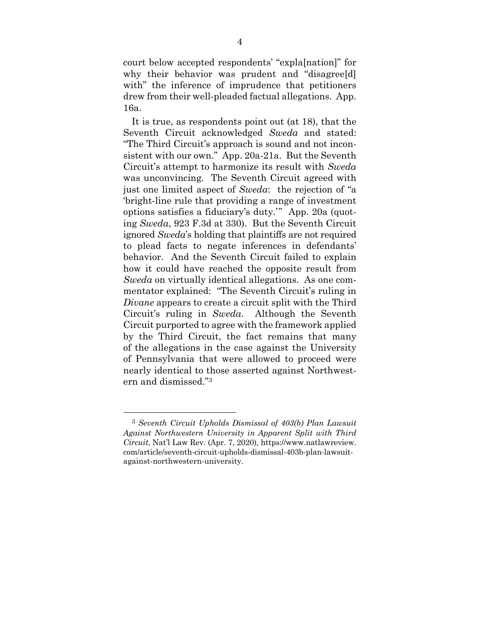court below accepted respondents' "expla[nation]" for why their behavior was prudent and "disagree[d] with" the inference of imprudence that petitioners drew from their well-pleaded factual allegations. App. 16a.

It is true, as respondents point out (at 18), that the Seventh Circuit acknowledged *Sweda* and stated: "The Third Circuit's approach is sound and not inconsistent with our own." App. 20a-21a. But the Seventh Circuit's attempt to harmonize its result with *Sweda* was unconvincing. The Seventh Circuit agreed with just one limited aspect of *Sweda*: the rejection of "a 'bright-line rule that providing a range of investment options satisfies a fiduciary's duty.'" App. 20a (quoting *Sweda*, 923 F.3d at 330). But the Seventh Circuit ignored *Sweda*'s holding that plaintiffs are not required to plead facts to negate inferences in defendants' behavior. And the Seventh Circuit failed to explain how it could have reached the opposite result from *Sweda* on virtually identical allegations. As one commentator explained: "The Seventh Circuit's ruling in *Divane* appears to create a circuit split with the Third Circuit's ruling in *Sweda*. Although the Seventh Circuit purported to agree with the framework applied by the Third Circuit, the fact remains that many of the allegations in the case against the University of Pennsylvania that were allowed to proceed were nearly identical to those asserted against Northwestern and dismissed."3

<sup>3</sup> *Seventh Circuit Upholds Dismissal of 403(b) Plan Lawsuit Against Northwestern University in Apparent Split with Third Circuit*, Nat'l Law Rev. (Apr. 7, 2020), https://www.natlawreview. com/article/seventh-circuit-upholds-dismissal-403b-plan-lawsuitagainst-northwestern-university.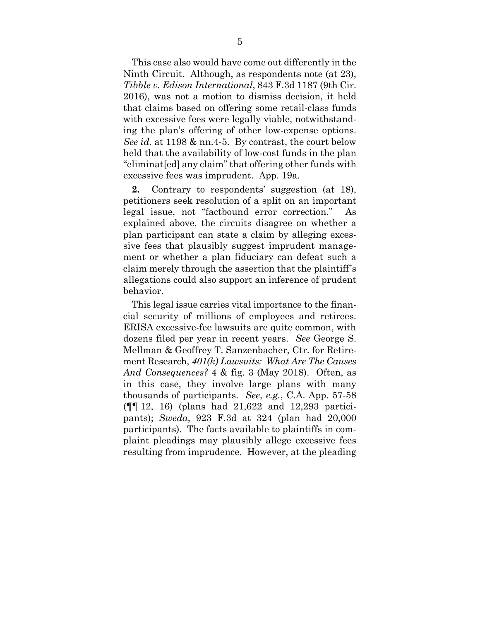This case also would have come out differently in the Ninth Circuit. Although, as respondents note (at 23), *Tibble v. Edison International*, 843 F.3d 1187 (9th Cir. 2016), was not a motion to dismiss decision, it held that claims based on offering some retail-class funds with excessive fees were legally viable, notwithstanding the plan's offering of other low-expense options. *See id.* at 1198 & nn.4-5. By contrast, the court below held that the availability of low-cost funds in the plan "eliminat[ed] any claim" that offering other funds with excessive fees was imprudent. App. 19a.

**2.** Contrary to respondents' suggestion (at 18), petitioners seek resolution of a split on an important legal issue, not "factbound error correction." As explained above, the circuits disagree on whether a plan participant can state a claim by alleging excessive fees that plausibly suggest imprudent management or whether a plan fiduciary can defeat such a claim merely through the assertion that the plaintiff's allegations could also support an inference of prudent behavior.

This legal issue carries vital importance to the financial security of millions of employees and retirees. ERISA excessive-fee lawsuits are quite common, with dozens filed per year in recent years. *See* George S. Mellman & Geoffrey T. Sanzenbacher, Ctr. for Retirement Research, *401(k) Lawsuits: What Are The Causes And Consequences?* 4 & fig. 3 (May 2018). Often, as in this case, they involve large plans with many thousands of participants. *See*, *e.g.*, C.A. App. 57-58 (¶¶ 12, 16) (plans had 21,622 and 12,293 participants); *Sweda*, 923 F.3d at 324 (plan had 20,000 participants). The facts available to plaintiffs in complaint pleadings may plausibly allege excessive fees resulting from imprudence. However, at the pleading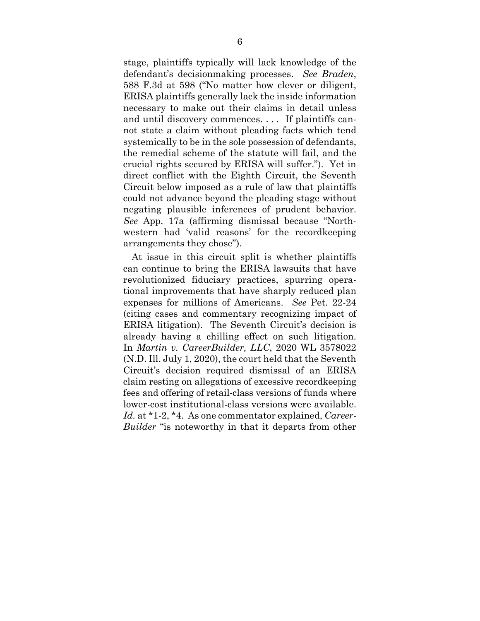stage, plaintiffs typically will lack knowledge of the defendant's decisionmaking processes. *See Braden*, 588 F.3d at 598 ("No matter how clever or diligent, ERISA plaintiffs generally lack the inside information necessary to make out their claims in detail unless and until discovery commences. . . . If plaintiffs cannot state a claim without pleading facts which tend systemically to be in the sole possession of defendants, the remedial scheme of the statute will fail, and the crucial rights secured by ERISA will suffer."). Yet in direct conflict with the Eighth Circuit, the Seventh Circuit below imposed as a rule of law that plaintiffs could not advance beyond the pleading stage without negating plausible inferences of prudent behavior. *See* App. 17a (affirming dismissal because "Northwestern had 'valid reasons' for the recordkeeping arrangements they chose").

At issue in this circuit split is whether plaintiffs can continue to bring the ERISA lawsuits that have revolutionized fiduciary practices, spurring operational improvements that have sharply reduced plan expenses for millions of Americans. *See* Pet. 22-24 (citing cases and commentary recognizing impact of ERISA litigation). The Seventh Circuit's decision is already having a chilling effect on such litigation. In *Martin v. CareerBuilder, LLC*, 2020 WL 3578022 (N.D. Ill. July 1, 2020), the court held that the Seventh Circuit's decision required dismissal of an ERISA claim resting on allegations of excessive recordkeeping fees and offering of retail-class versions of funds where lower-cost institutional-class versions were available. *Id.* at \*1-2, \*4. As one commentator explained, *Career-Builder* "is noteworthy in that it departs from other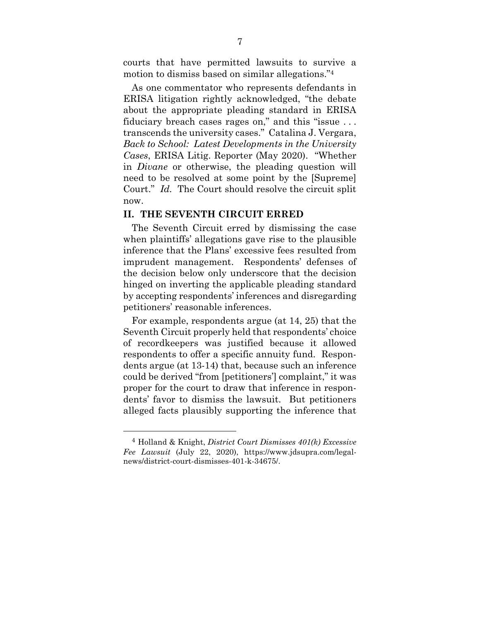courts that have permitted lawsuits to survive a motion to dismiss based on similar allegations."4

As one commentator who represents defendants in ERISA litigation rightly acknowledged, "the debate about the appropriate pleading standard in ERISA fiduciary breach cases rages on," and this "issue ... transcends the university cases." Catalina J. Vergara, *Back to School: Latest Developments in the University Cases*, ERISA Litig. Reporter (May 2020). "Whether in *Divane* or otherwise, the pleading question will need to be resolved at some point by the [Supreme] Court." *Id.* The Court should resolve the circuit split now.

#### **II. THE SEVENTH CIRCUIT ERRED**

The Seventh Circuit erred by dismissing the case when plaintiffs' allegations gave rise to the plausible inference that the Plans' excessive fees resulted from imprudent management. Respondents' defenses of the decision below only underscore that the decision hinged on inverting the applicable pleading standard by accepting respondents' inferences and disregarding petitioners' reasonable inferences.

For example, respondents argue (at 14, 25) that the Seventh Circuit properly held that respondents' choice of recordkeepers was justified because it allowed respondents to offer a specific annuity fund. Respondents argue (at 13-14) that, because such an inference could be derived "from [petitioners'] complaint," it was proper for the court to draw that inference in respondents' favor to dismiss the lawsuit. But petitioners alleged facts plausibly supporting the inference that

<sup>4</sup> Holland & Knight, *District Court Dismisses 401(k) Excessive Fee Lawsuit* (July 22, 2020), https://www.jdsupra.com/legalnews/district-court-dismisses-401-k-34675/.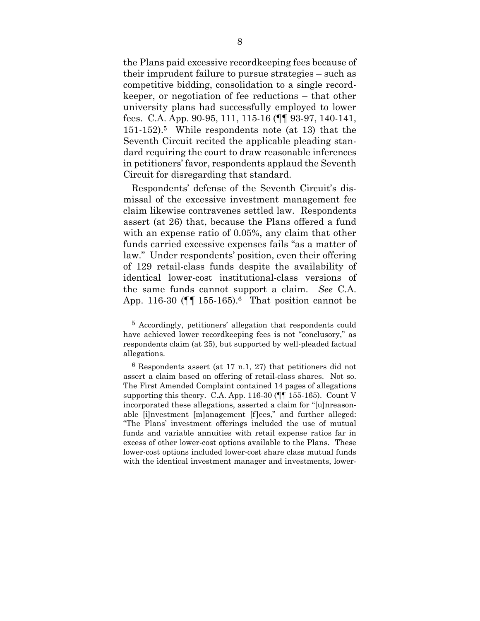the Plans paid excessive recordkeeping fees because of their imprudent failure to pursue strategies – such as competitive bidding, consolidation to a single recordkeeper, or negotiation of fee reductions – that other university plans had successfully employed to lower fees. C.A. App. 90-95, 111, 115-16 (¶¶ 93-97, 140-141, 151-152).5 While respondents note (at 13) that the Seventh Circuit recited the applicable pleading standard requiring the court to draw reasonable inferences in petitioners' favor, respondents applaud the Seventh Circuit for disregarding that standard.

Respondents' defense of the Seventh Circuit's dismissal of the excessive investment management fee claim likewise contravenes settled law. Respondents assert (at 26) that, because the Plans offered a fund with an expense ratio of 0.05%, any claim that other funds carried excessive expenses fails "as a matter of law." Under respondents' position, even their offering of 129 retail-class funds despite the availability of identical lower-cost institutional-class versions of the same funds cannot support a claim. *See* C.A. App. 116-30 ( $\P$  $\P$  155-165).<sup>6</sup> That position cannot be

<sup>5</sup> Accordingly, petitioners' allegation that respondents could have achieved lower recordkeeping fees is not "conclusory," as respondents claim (at 25), but supported by well-pleaded factual allegations.

 $6$  Respondents assert (at 17 n.1, 27) that petitioners did not assert a claim based on offering of retail-class shares. Not so. The First Amended Complaint contained 14 pages of allegations supporting this theory. C.A. App. 116-30 (¶¶ 155-165). Count V incorporated these allegations, asserted a claim for "[u]nreasonable [i]nvestment [m]anagement [f]ees," and further alleged: "The Plans' investment offerings included the use of mutual funds and variable annuities with retail expense ratios far in excess of other lower-cost options available to the Plans. These lower-cost options included lower-cost share class mutual funds with the identical investment manager and investments, lower-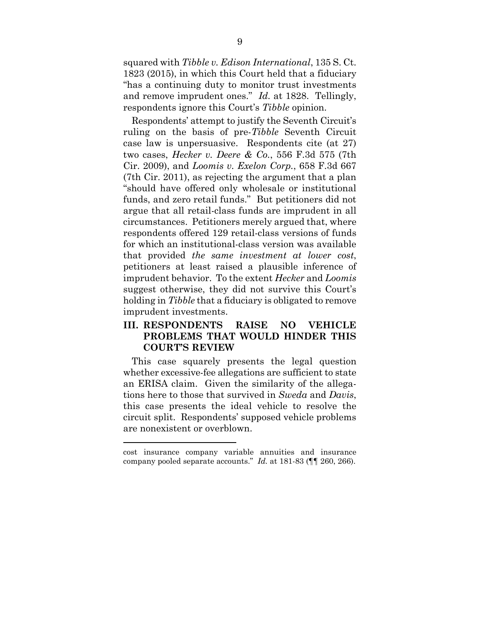squared with *Tibble v. Edison International*, 135 S. Ct. 1823 (2015), in which this Court held that a fiduciary "has a continuing duty to monitor trust investments and remove imprudent ones." *Id.* at 1828. Tellingly, respondents ignore this Court's *Tibble* opinion.

Respondents' attempt to justify the Seventh Circuit's ruling on the basis of pre-*Tibble* Seventh Circuit case law is unpersuasive. Respondents cite (at 27) two cases, *Hecker v. Deere & Co.*, 556 F.3d 575 (7th Cir. 2009), and *Loomis v. Exelon Corp.*, 658 F.3d 667 (7th Cir. 2011), as rejecting the argument that a plan "should have offered only wholesale or institutional funds, and zero retail funds." But petitioners did not argue that all retail-class funds are imprudent in all circumstances. Petitioners merely argued that, where respondents offered 129 retail-class versions of funds for which an institutional-class version was available that provided *the same investment at lower cost*, petitioners at least raised a plausible inference of imprudent behavior. To the extent *Hecker* and *Loomis* suggest otherwise, they did not survive this Court's holding in *Tibble* that a fiduciary is obligated to remove imprudent investments.

### **III. RESPONDENTS RAISE NO VEHICLE PROBLEMS THAT WOULD HINDER THIS COURT'S REVIEW**

This case squarely presents the legal question whether excessive-fee allegations are sufficient to state an ERISA claim. Given the similarity of the allegations here to those that survived in *Sweda* and *Davis*, this case presents the ideal vehicle to resolve the circuit split. Respondents' supposed vehicle problems are nonexistent or overblown.

cost insurance company variable annuities and insurance company pooled separate accounts." *Id.* at 181-83 (¶¶ 260, 266).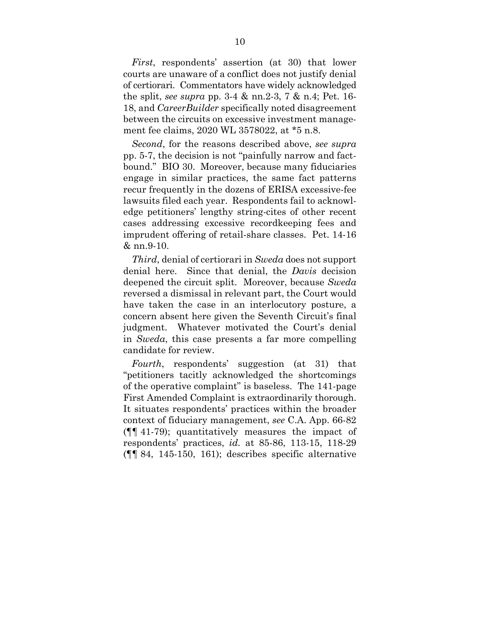*First*, respondents' assertion (at 30) that lower courts are unaware of a conflict does not justify denial of certiorari. Commentators have widely acknowledged the split, *see supra* pp. 3-4 & nn.2-3, 7 & n.4; Pet. 16- 18, and *CareerBuilder* specifically noted disagreement between the circuits on excessive investment management fee claims, 2020 WL 3578022, at \*5 n.8.

*Second*, for the reasons described above, *see supra* pp. 5-7, the decision is not "painfully narrow and factbound." BIO 30. Moreover, because many fiduciaries engage in similar practices, the same fact patterns recur frequently in the dozens of ERISA excessive-fee lawsuits filed each year. Respondents fail to acknowledge petitioners' lengthy string-cites of other recent cases addressing excessive recordkeeping fees and imprudent offering of retail-share classes. Pet. 14-16 & nn.9-10.

*Third*, denial of certiorari in *Sweda* does not support denial here. Since that denial, the *Davis* decision deepened the circuit split. Moreover, because *Sweda* reversed a dismissal in relevant part, the Court would have taken the case in an interlocutory posture, a concern absent here given the Seventh Circuit's final judgment. Whatever motivated the Court's denial in *Sweda*, this case presents a far more compelling candidate for review.

*Fourth*, respondents' suggestion (at 31) that "petitioners tacitly acknowledged the shortcomings of the operative complaint" is baseless. The 141-page First Amended Complaint is extraordinarily thorough. It situates respondents' practices within the broader context of fiduciary management, *see* C.A. App. 66-82 (¶¶ 41-79); quantitatively measures the impact of respondents' practices, *id.* at 85-86, 113-15, 118-29 (¶¶ 84, 145-150, 161); describes specific alternative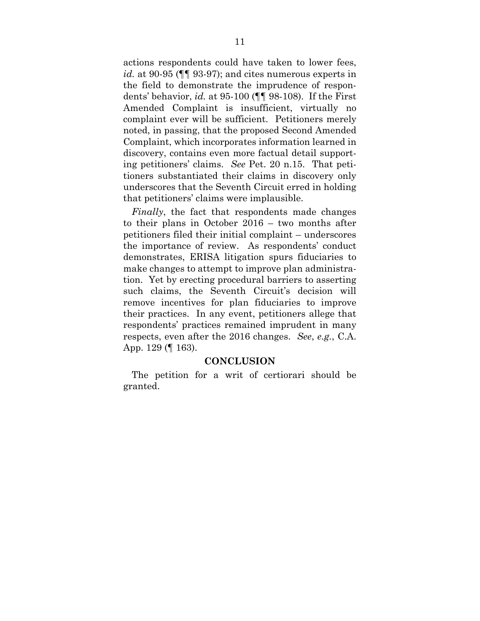actions respondents could have taken to lower fees, *id.* at 90-95 ( $\P$ ] 93-97); and cites numerous experts in the field to demonstrate the imprudence of respondents' behavior, *id.* at 95-100 (¶¶ 98-108). If the First Amended Complaint is insufficient, virtually no complaint ever will be sufficient. Petitioners merely noted, in passing, that the proposed Second Amended Complaint, which incorporates information learned in discovery, contains even more factual detail supporting petitioners' claims. *See* Pet. 20 n.15. That petitioners substantiated their claims in discovery only underscores that the Seventh Circuit erred in holding that petitioners' claims were implausible.

*Finally*, the fact that respondents made changes to their plans in October 2016 – two months after petitioners filed their initial complaint – underscores the importance of review. As respondents' conduct demonstrates, ERISA litigation spurs fiduciaries to make changes to attempt to improve plan administration. Yet by erecting procedural barriers to asserting such claims, the Seventh Circuit's decision will remove incentives for plan fiduciaries to improve their practices. In any event, petitioners allege that respondents' practices remained imprudent in many respects, even after the 2016 changes. *See*, *e.g.*, C.A. App. 129 (¶ 163).

#### **CONCLUSION**

The petition for a writ of certiorari should be granted.